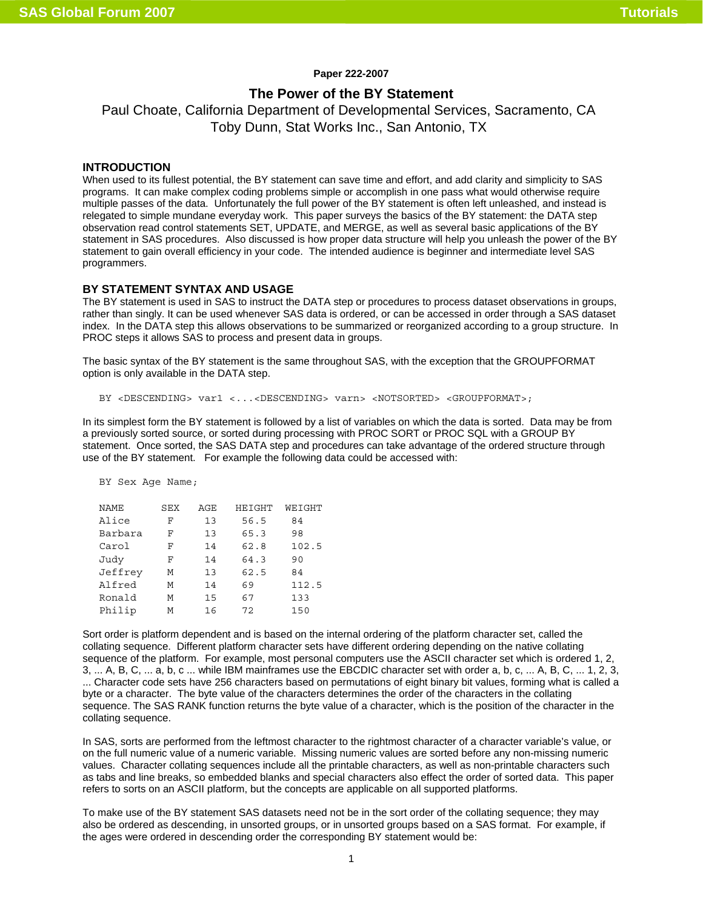### **Paper 222-2007**

# **The Power of the BY Statement**

Paul Choate, California Department of Developmental Services, Sacramento, CA Toby Dunn, Stat Works Inc., San Antonio, TX

## **INTRODUCTION**

When used to its fullest potential, the BY statement can save time and effort, and add clarity and simplicity to SAS programs. It can make complex coding problems simple or accomplish in one pass what would otherwise require multiple passes of the data. Unfortunately the full power of the BY statement is often left unleashed, and instead is relegated to simple mundane everyday work. This paper surveys the basics of the BY statement: the DATA step observation read control statements SET, UPDATE, and MERGE, as well as several basic applications of the BY statement in SAS procedures. Also discussed is how proper data structure will help you unleash the power of the BY statement to gain overall efficiency in your code. The intended audience is beginner and intermediate level SAS programmers.

## **BY STATEMENT SYNTAX AND USAGE**

The BY statement is used in SAS to instruct the DATA step or procedures to process dataset observations in groups, rather than singly. It can be used whenever SAS data is ordered, or can be accessed in order through a SAS dataset index. In the DATA step this allows observations to be summarized or reorganized according to a group structure. In PROC steps it allows SAS to process and present data in groups.

The basic syntax of the BY statement is the same throughout SAS, with the exception that the GROUPFORMAT option is only available in the DATA step.

```
BY <DESCENDING> var1 <...<DESCENDING> varn> <NOTSORTED> <GROUPFORMAT>;
```
In its simplest form the BY statement is followed by a list of variables on which the data is sorted. Data may be from a previously sorted source, or sorted during processing with PROC SORT or PROC SQL with a GROUP BY statement. Once sorted, the SAS DATA step and procedures can take advantage of the ordered structure through use of the BY statement. For example the following data could be accessed with:

BY Sex Age Name;

| <b>NAME</b> | SEX | AGE | HEIGHT | WEIGHT |
|-------------|-----|-----|--------|--------|
| Alice       | F   | 13  | 56.5   | 84     |
| Barbara     | F   | 13  | 65.3   | 98     |
| Carol       | F   | 14  | 62.8   | 102.5  |
| Judy        | F   | 14  | 64.3   | 90     |
| Jeffrey     | М   | 13  | 62.5   | 84     |
| Alfred      | м   | 14  | 69     | 112.5  |
| Ronald      | М   | 15  | 67     | 133    |
| Philip      | м   | 16  | 72     | 150    |

Sort order is platform dependent and is based on the internal ordering of the platform character set, called the collating sequence. Different platform character sets have different ordering depending on the native collating sequence of the platform. For example, most personal computers use the ASCII character set which is ordered 1, 2, 3, ... A, B, C, ... a, b, c ... while IBM mainframes use the EBCDIC character set with order a, b, c, ... A, B, C, ... 1, 2, 3, ... Character code sets have 256 characters based on permutations of eight binary bit values, forming what is called a byte or a character. The byte value of the characters determines the order of the characters in the collating sequence. The SAS RANK function returns the byte value of a character, which is the position of the character in the collating sequence.

In SAS, sorts are performed from the leftmost character to the rightmost character of a character variable's value, or on the full numeric value of a numeric variable. Missing numeric values are sorted before any non-missing numeric values. Character collating sequences include all the printable characters, as well as non-printable characters such as tabs and line breaks, so embedded blanks and special characters also effect the order of sorted data. This paper refers to sorts on an ASCII platform, but the concepts are applicable on all supported platforms.

To make use of the BY statement SAS datasets need not be in the sort order of the collating sequence; they may also be ordered as descending, in unsorted groups, or in unsorted groups based on a SAS format. For example, if the ages were ordered in descending order the corresponding BY statement would be: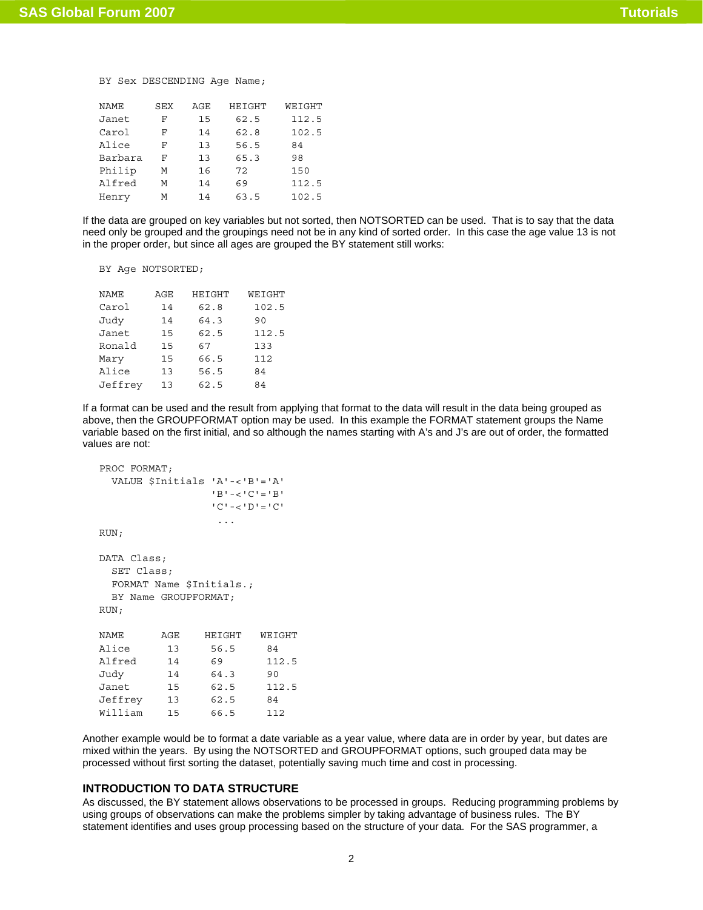## BY Sex DESCENDING Age Name;

| <b>NAME</b> | SEX | AGE | HEIGHT | WEIGHT |
|-------------|-----|-----|--------|--------|
| Janet       | F   | 15  | 62.5   | 112.5  |
| Carol       | F   | 14  | 62.8   | 102.5  |
| Alice       | F   | 13  | 56.5   | 84     |
| Barbara     | F   | 13  | 65.3   | 98     |
| Philip      | М   | 16  | 72     | 150    |
| Alfred      | M   | 14  | 69     | 112.5  |
| Henry       | м   | 14  | 63.5   | 102.5  |

If the data are grouped on key variables but not sorted, then NOTSORTED can be used. That is to say that the data need only be grouped and the groupings need not be in any kind of sorted order. In this case the age value 13 is not in the proper order, but since all ages are grouped the BY statement still works:

BY Age NOTSORTED;

| <b>NAME</b> | AGE | HEIGHT | WEIGHT |
|-------------|-----|--------|--------|
|             |     |        |        |
| Carol       | 14  | 62.8   | 102.5  |
| Judy        | 14  | 64.3   | 90     |
| Janet       | 15  | 62.5   | 112.5  |
| Ronald      | 15  | 67     | 133    |
| Mary        | 15  | 66.5   | 112    |
| Alice       | 13  | 56.5   | 84     |
| Jeffrey     | 13  | 62.5   | 84     |

If a format can be used and the result from applying that format to the data will result in the data being grouped as above, then the GROUPFORMAT option may be used. In this example the FORMAT statement groups the Name variable based on the first initial, and so although the names starting with A's and J's are out of order, the formatted values are not:

```
PROC FORMAT; 
  VALUE $Initials 'A'-<'B'='A' 
               'B'-<'C'='B' 
               'C'-<'D'='C' 
 ... 
RUN; 
DATA Class; 
  SET Class; 
  FORMAT Name $Initials.; 
  BY Name GROUPFORMAT; 
RUN; 
NAME AGE HEIGHT WEIGHT 
Alice 13 56.5 84 
Alfred 14 69 112.5 
Judy 14 64.3 90 
Janet 15 62.5 112.5 
Jeffrey 13 62.5 84 
William 15 66.5 112
```
Another example would be to format a date variable as a year value, where data are in order by year, but dates are mixed within the years. By using the NOTSORTED and GROUPFORMAT options, such grouped data may be processed without first sorting the dataset, potentially saving much time and cost in processing.

# **INTRODUCTION TO DATA STRUCTURE**

As discussed, the BY statement allows observations to be processed in groups. Reducing programming problems by using groups of observations can make the problems simpler by taking advantage of business rules. The BY statement identifies and uses group processing based on the structure of your data. For the SAS programmer, a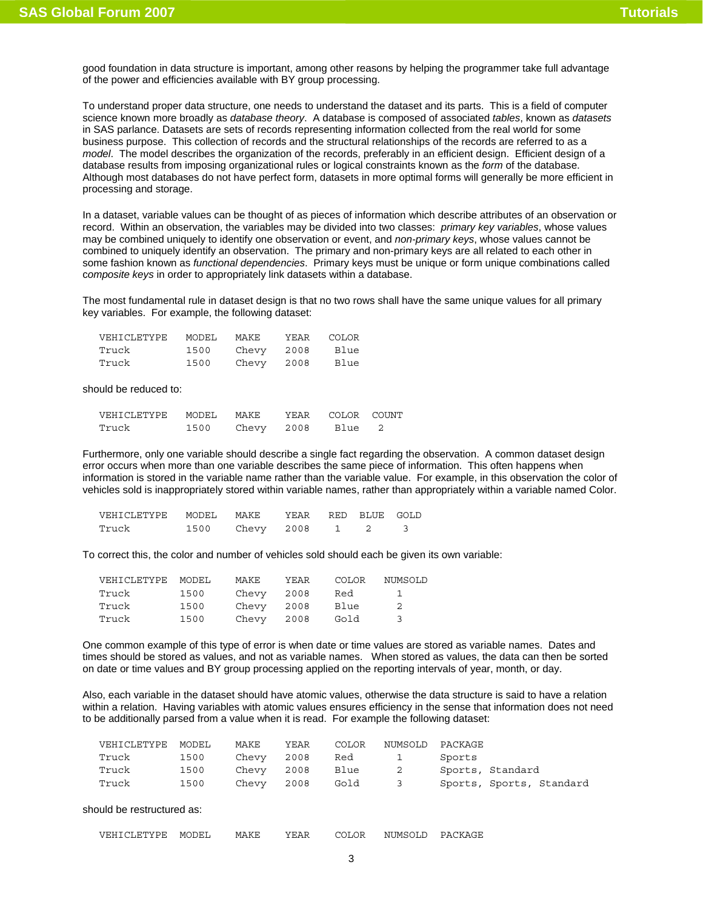good foundation in data structure is important, among other reasons by helping the programmer take full advantage of the power and efficiencies available with BY group processing.

To understand proper data structure, one needs to understand the dataset and its parts. This is a field of computer science known more broadly as *database theory*. A database is composed of associated *tables*, known as *datasets* in SAS parlance. Datasets are sets of records representing information collected from the real world for some business purpose. This collection of records and the structural relationships of the records are referred to as a *model*. The model describes the organization of the records, preferably in an efficient design. Efficient design of a database results from imposing organizational rules or logical constraints known as the *form* of the database. Although most databases do not have perfect form, datasets in more optimal forms will generally be more efficient in processing and storage.

In a dataset, variable values can be thought of as pieces of information which describe attributes of an observation or record. Within an observation, the variables may be divided into two classes: *primary key variables*, whose values may be combined uniquely to identify one observation or event, and *non-primary keys*, whose values cannot be combined to uniquely identify an observation. The primary and non-primary keys are all related to each other in some fashion known as *functional dependencies*. Primary keys must be unique or form unique combinations called c*omposite keys* in order to appropriately link datasets within a database.

The most fundamental rule in dataset design is that no two rows shall have the same unique values for all primary key variables. For example, the following dataset:

| VEHICLETYPE | MODEL | MAKE  | YEAR | <b>COLOR</b> |
|-------------|-------|-------|------|--------------|
| Truck       | 1500  | Chevy | 2008 | Blue         |
| Truck       | 1500  | Chevy | 2008 | Blue         |

should be reduced to:

| VEHICLETYPE | MODEL. | MAKE       | YEAR | COLOR COUNT |  |
|-------------|--------|------------|------|-------------|--|
| Truck       | 1500   | Chevy 2008 |      | Blue        |  |

Furthermore, only one variable should describe a single fact regarding the observation. A common dataset design error occurs when more than one variable describes the same piece of information. This often happens when information is stored in the variable name rather than the variable value. For example, in this observation the color of vehicles sold is inappropriately stored within variable names, rather than appropriately within a variable named Color.

| VEHICLETYPE | MODEL MAKE |                     | YEAR RED BLUE GOLD |  |  |
|-------------|------------|---------------------|--------------------|--|--|
| Truck       |            | 1500 Chevy 2008 1 2 |                    |  |  |

To correct this, the color and number of vehicles sold should each be given its own variable:

| VEHICLETYPE MODEL |      | MAKE       | YEAR | COLOR | NUMSOLD |
|-------------------|------|------------|------|-------|---------|
| Truck             | 1500 | Chevv      | 2008 | Red   | -1.     |
| Truck             | 1500 | Chevy 2008 |      | Blue  | -2      |
| Truck             | 1500 | Chevy 2008 |      | Gold  | - 2     |

One common example of this type of error is when date or time values are stored as variable names. Dates and times should be stored as values, and not as variable names. When stored as values, the data can then be sorted on date or time values and BY group processing applied on the reporting intervals of year, month, or day.

Also, each variable in the dataset should have atomic values, otherwise the data structure is said to have a relation within a relation. Having variables with atomic values ensures efficiency in the sense that information does not need to be additionally parsed from a value when it is read. For example the following dataset:

| VEHICLETYPE MODEL |      | MAKE       | YEAR | COLOR | NUMSOLD                 | PACKAGE                  |
|-------------------|------|------------|------|-------|-------------------------|--------------------------|
| Truck             | 1500 | Chevy 2008 |      | Red 1 |                         | Sports                   |
| Truck             | 1500 | Chevy 2008 |      | Blue  | $\overline{\mathbf{c}}$ | Sports, Standard         |
| Truck             | 1500 | Chevy 2008 |      | Gold  | $\overline{\mathbf{3}}$ | Sports, Sports, Standard |

should be restructured as:

| VEHICLET<br>ETYPE | MODEL | MAKE | 'ΔĿ<br>t Europ | COLOR | NUMSOLF<br>ாட | CKAGE<br>ו∆⊂ |
|-------------------|-------|------|----------------|-------|---------------|--------------|
|-------------------|-------|------|----------------|-------|---------------|--------------|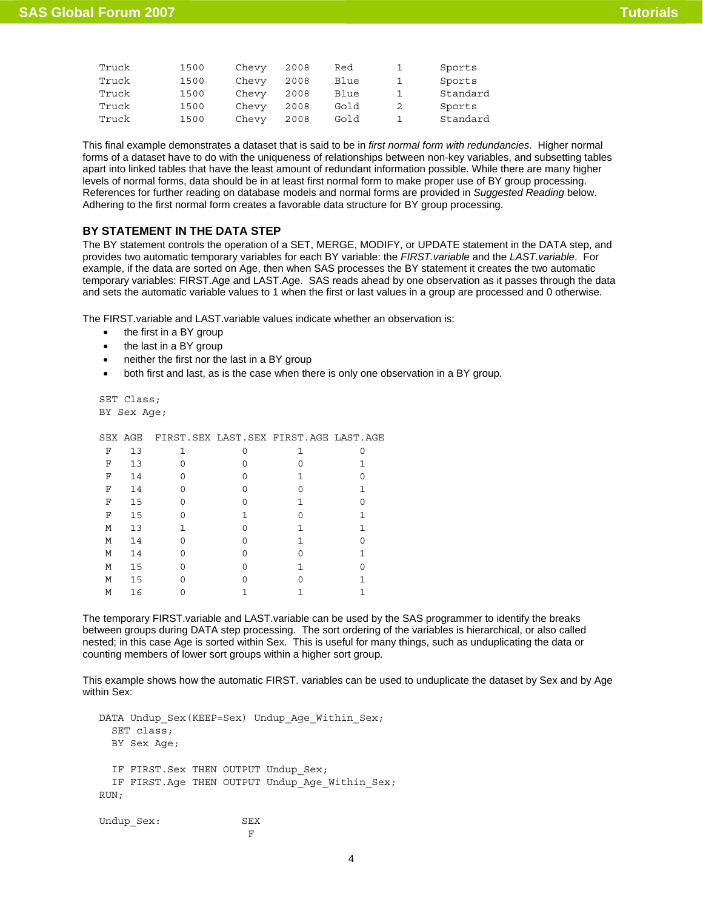| Truck | 1500 | Chevy | 2008 | Red  | Sports   |
|-------|------|-------|------|------|----------|
| Truck | 1500 | Chevy | 2008 | Blue | Sports   |
| Truck | 1500 | Chevy | 2008 | Blue | Standard |
| Truck | 1500 | Chevy | 2008 | Gold | Sports   |
| Truck | 1500 | Chevy | 2008 | Gold | Standard |

This final example demonstrates a dataset that is said to be in *first normal form with redundancies*. Higher normal forms of a dataset have to do with the uniqueness of relationships between non-key variables, and subsetting tables apart into linked tables that have the least amount of redundant information possible. While there are many higher levels of normal forms, data should be in at least first normal form to make proper use of BY group processing. References for further reading on database models and normal forms are provided in *Suggested Reading* below. Adhering to the first normal form creates a favorable data structure for BY group processing.

# **BY STATEMENT IN THE DATA STEP**

The BY statement controls the operation of a SET, MERGE, MODIFY, or UPDATE statement in the DATA step, and provides two automatic temporary variables for each BY variable: the *FIRST.variable* and the *LAST.variable*. For example, if the data are sorted on Age, then when SAS processes the BY statement it creates the two automatic temporary variables: FIRST.Age and LAST.Age. SAS reads ahead by one observation as it passes through the data and sets the automatic variable values to 1 when the first or last values in a group are processed and 0 otherwise.

The FIRST.variable and LAST.variable values indicate whether an observation is:

- the first in a BY group
- the last in a BY group
- neither the first nor the last in a BY group
- both first and last, as is the case when there is only one observation in a BY group.

SET Class; BY Sex Age;

|  | SEX AGE FIRST.SEX LAST.SEX FIRST.AGE LAST.AGE |  |  |
|--|-----------------------------------------------|--|--|
|  |                                               |  |  |

| F | 13 | 1 |   | 1            |   |
|---|----|---|---|--------------|---|
| F | 13 | O | O | 0            |   |
| F | 14 | 0 | O | $\mathbf{1}$ |   |
| F | 14 | 0 | 0 | 0            | 1 |
| F | 15 | 0 | 0 | 1            | O |
| F | 15 | 0 | 1 | 0            | 1 |
| М | 13 | 1 | O | $\mathbf{1}$ | 1 |
| М | 14 | O | O | $\mathbf{1}$ |   |
| М | 14 | O | O | 0            | 1 |
| М | 15 | 0 | O | $\mathbf{1}$ |   |
| М | 15 | O | O | 0            | 1 |
| М | 16 | 0 |   |              |   |

The temporary FIRST.variable and LAST.variable can be used by the SAS programmer to identify the breaks between groups during DATA step processing. The sort ordering of the variables is hierarchical, or also called nested; in this case Age is sorted within Sex. This is useful for many things, such as unduplicating the data or counting members of lower sort groups within a higher sort group.

This example shows how the automatic FIRST. variables can be used to unduplicate the dataset by Sex and by Age within Sex:

```
DATA Undup_Sex(KEEP=Sex) Undup_Age_Within_Sex; 
  SET class; 
  BY Sex Age; 
 IF FIRST. Sex THEN OUTPUT Undup Sex;
 IF FIRST.Age THEN OUTPUT Undup Age Within Sex;
RUN; 
Undup Sex: SEX
```
**F F F F**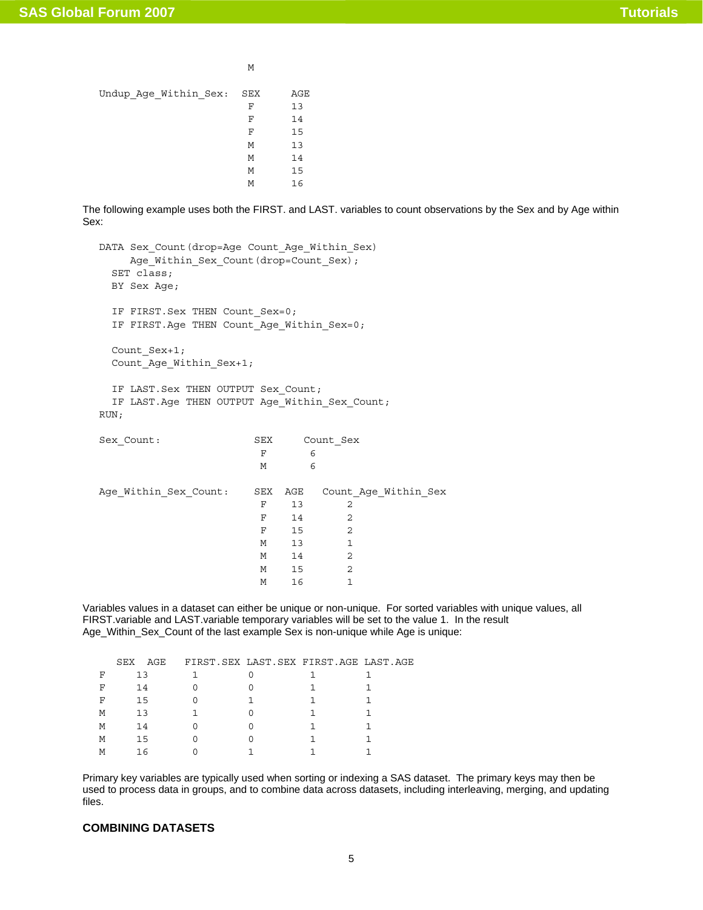M

| Undup_Age_Within Sex: | SEX | AGE |
|-----------------------|-----|-----|
|                       | F   | 13  |
|                       | F   | 14  |
|                       | F   | 15  |
|                       | М   | 13  |
|                       | M   | 14  |
|                       | M   | 15  |
|                       | М   | 16  |

The following example uses both the FIRST. and LAST. variables to count observations by the Sex and by Age within Sex:

```
DATA Sex_Count(drop=Age Count_Age_Within_Sex)
  Age_Within_Sex_Count(drop=Count_Sex);
  SET class; 
  BY Sex Age; 
 IF FIRST. Sex THEN Count Sex=0;
 IF FIRST. Age THEN Count Age Within Sex=0;
 Count Sex+1;
 Count Age Within Sex+1;
 IF LAST. Sex THEN OUTPUT Sex Count;
 IF LAST.Age THEN OUTPUT Age Within Sex Count;
RUN; 
Sex_Count: SEX Count_Sex
F 6
M 6
Age Within Sex Count: SEX AGE Count Age Within Sex
F 13 2
F 14 2
F 15 2
M 13 1
M 14 2
M 15 2
M 16 1
```
Variables values in a dataset can either be unique or non-unique. For sorted variables with unique values, all FIRST.variable and LAST.variable temporary variables will be set to the value 1. In the result Age\_Within\_Sex\_Count of the last example Sex is non-unique while Age is unique:

|   | SEX | AGE |  | FIRST. SEX LAST. SEX FIRST. AGE LAST. AGE |  |
|---|-----|-----|--|-------------------------------------------|--|
| F |     | 13  |  |                                           |  |
| F |     | 14  |  |                                           |  |
| F |     | 15  |  |                                           |  |
| М |     | 13  |  |                                           |  |
| M |     | 14  |  |                                           |  |
| M |     | 15  |  |                                           |  |
| M |     | 16  |  |                                           |  |

Primary key variables are typically used when sorting or indexing a SAS dataset. The primary keys may then be used to process data in groups, and to combine data across datasets, including interleaving, merging, and updating files.

# **COMBINING DATASETS**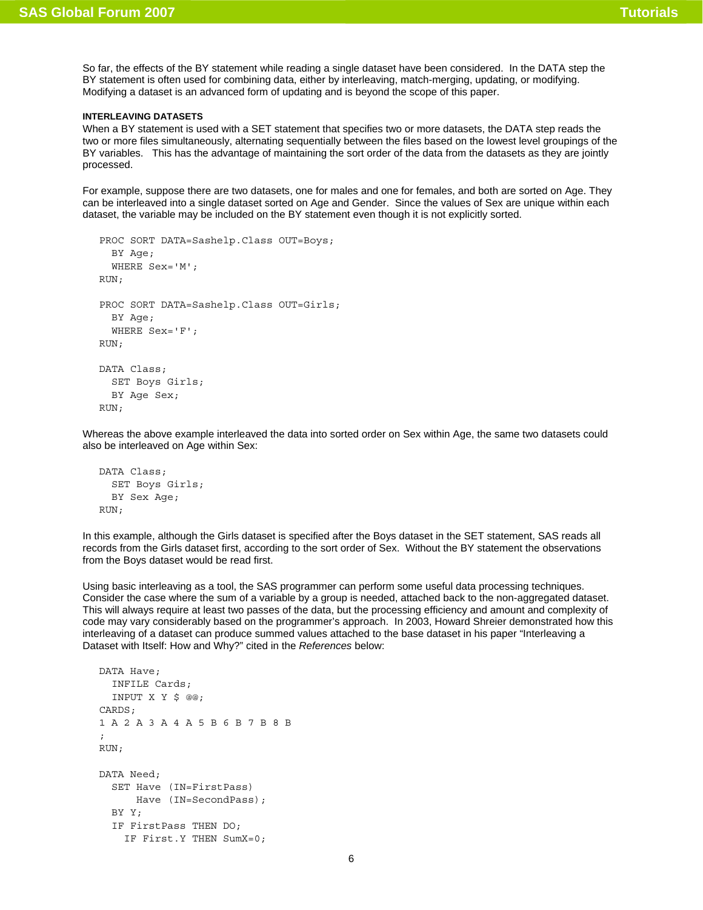So far, the effects of the BY statement while reading a single dataset have been considered. In the DATA step the BY statement is often used for combining data, either by interleaving, match-merging, updating, or modifying. Modifying a dataset is an advanced form of updating and is beyond the scope of this paper.

### **INTERLEAVING DATASETS**

When a BY statement is used with a SET statement that specifies two or more datasets, the DATA step reads the two or more files simultaneously, alternating sequentially between the files based on the lowest level groupings of the BY variables. This has the advantage of maintaining the sort order of the data from the datasets as they are jointly processed.

For example, suppose there are two datasets, one for males and one for females, and both are sorted on Age. They can be interleaved into a single dataset sorted on Age and Gender. Since the values of Sex are unique within each dataset, the variable may be included on the BY statement even though it is not explicitly sorted.

```
PROC SORT DATA=Sashelp.Class OUT=Boys; 
   BY Age; 
   WHERE Sex='M'; 
RUN; 
PROC SORT DATA=Sashelp.Class OUT=Girls; 
   BY Age; 
   WHERE Sex='F'; 
RUN; 
DATA Class; 
   SET Boys Girls; 
   BY Age Sex; 
RUN;
```
Whereas the above example interleaved the data into sorted order on Sex within Age, the same two datasets could also be interleaved on Age within Sex:

```
DATA Class; 
   SET Boys Girls; 
   BY Sex Age; 
RUN;
```
In this example, although the Girls dataset is specified after the Boys dataset in the SET statement, SAS reads all records from the Girls dataset first, according to the sort order of Sex. Without the BY statement the observations from the Boys dataset would be read first.

Using basic interleaving as a tool, the SAS programmer can perform some useful data processing techniques. Consider the case where the sum of a variable by a group is needed, attached back to the non-aggregated dataset. This will always require at least two passes of the data, but the processing efficiency and amount and complexity of code may vary considerably based on the programmer's approach. In 2003, Howard Shreier demonstrated how this interleaving of a dataset can produce summed values attached to the base dataset in his paper "Interleaving a Dataset with Itself: How and Why?" cited in the *References* below:

```
DATA Have; 
   INFILE Cards; 
   INPUT X Y $ @@; 
CARDS; 
1 A 2 A 3 A 4 A 5 B 6 B 7 B 8 B 
; 
RUN; 
DATA Need; 
   SET Have (IN=FirstPass) 
       Have (IN=SecondPass); 
   BY Y; 
   IF FirstPass THEN DO; 
     IF First.Y THEN SumX=0;
```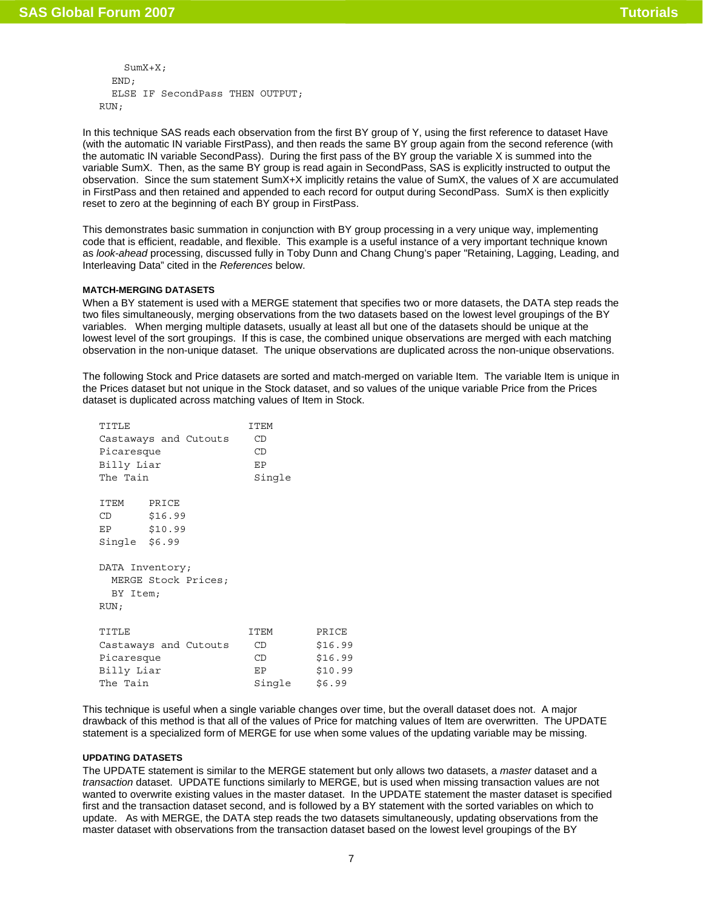```
SumX+X: END; 
   ELSE IF SecondPass THEN OUTPUT; 
RUN;
```
In this technique SAS reads each observation from the first BY group of Y, using the first reference to dataset Have (with the automatic IN variable FirstPass), and then reads the same BY group again from the second reference (with the automatic IN variable SecondPass). During the first pass of the BY group the variable X is summed into the variable SumX. Then, as the same BY group is read again in SecondPass, SAS is explicitly instructed to output the observation. Since the sum statement SumX+X implicitly retains the value of SumX, the values of X are accumulated in FirstPass and then retained and appended to each record for output during SecondPass. SumX is then explicitly reset to zero at the beginning of each BY group in FirstPass.

This demonstrates basic summation in conjunction with BY group processing in a very unique way, implementing code that is efficient, readable, and flexible. This example is a useful instance of a very important technique known as *look-ahead* processing, discussed fully in Toby Dunn and Chang Chung's paper "Retaining, Lagging, Leading, and Interleaving Data" cited in the *References* below.

### **MATCH-MERGING DATASETS**

When a BY statement is used with a MERGE statement that specifies two or more datasets, the DATA step reads the two files simultaneously, merging observations from the two datasets based on the lowest level groupings of the BY variables. When merging multiple datasets, usually at least all but one of the datasets should be unique at the lowest level of the sort groupings. If this is case, the combined unique observations are merged with each matching observation in the non-unique dataset. The unique observations are duplicated across the non-unique observations.

The following Stock and Price datasets are sorted and match-merged on variable Item. The variable Item is unique in the Prices dataset but not unique in the Stock dataset, and so values of the unique variable Price from the Prices dataset is duplicated across matching values of Item in Stock.

| TITLE                                                      |                       | <b>ITEM</b> |         |  |  |
|------------------------------------------------------------|-----------------------|-------------|---------|--|--|
|                                                            | Castaways and Cutouts | CD          |         |  |  |
| Picaresque                                                 |                       | CD          |         |  |  |
| Billy Liar                                                 |                       | EP          |         |  |  |
| The Tain                                                   |                       | Single      |         |  |  |
| ITEM PRICE<br>CD<br>EP<br>Single \$6.99                    | \$16.99<br>\$10.99    |             |         |  |  |
| DATA Inventory;<br>MERGE Stock Prices;<br>BY Item;<br>RUN; |                       |             |         |  |  |
| TITLE                                                      |                       | <b>ITEM</b> | PRICE   |  |  |
|                                                            | Castaways and Cutouts | CD          | \$16.99 |  |  |
| Picaresque                                                 |                       | CD          | \$16.99 |  |  |
| Billy Liar                                                 |                       | ЕP          | \$10.99 |  |  |
| The Tain                                                   |                       | Single      | \$6.99  |  |  |

This technique is useful when a single variable changes over time, but the overall dataset does not. A major drawback of this method is that all of the values of Price for matching values of Item are overwritten. The UPDATE statement is a specialized form of MERGE for use when some values of the updating variable may be missing.

#### **UPDATING DATASETS**

The UPDATE statement is similar to the MERGE statement but only allows two datasets, a *master* dataset and a *transaction* dataset. UPDATE functions similarly to MERGE, but is used when missing transaction values are not wanted to overwrite existing values in the master dataset. In the UPDATE statement the master dataset is specified first and the transaction dataset second, and is followed by a BY statement with the sorted variables on which to update. As with MERGE, the DATA step reads the two datasets simultaneously, updating observations from the master dataset with observations from the transaction dataset based on the lowest level groupings of the BY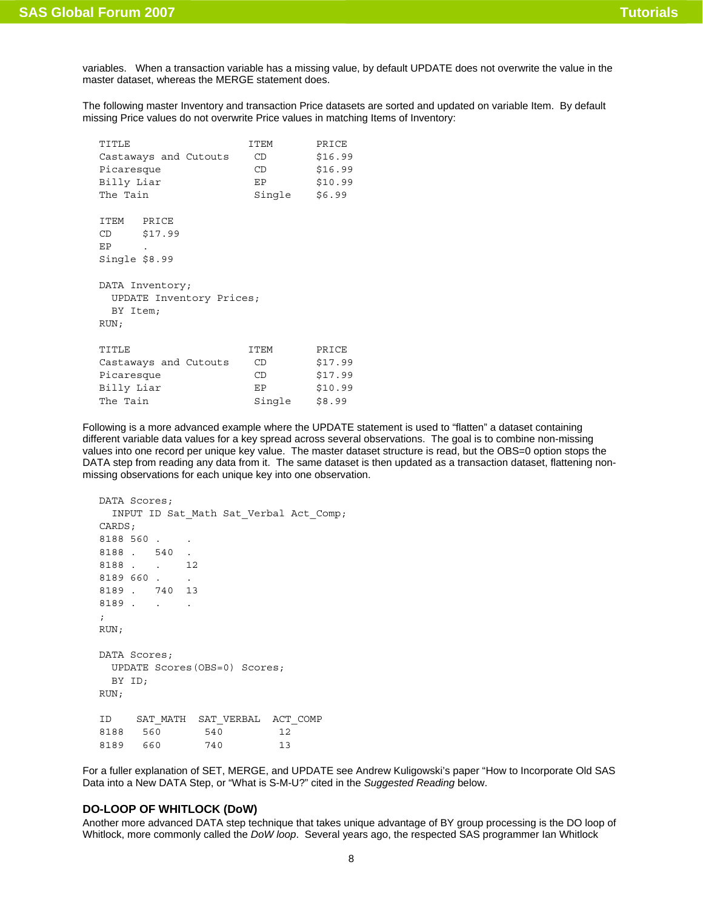variables. When a transaction variable has a missing value, by default UPDATE does not overwrite the value in the master dataset, whereas the MERGE statement does.

The following master Inventory and transaction Price datasets are sorted and updated on variable Item. By default missing Price values do not overwrite Price values in matching Items of Inventory:

| TITLE                    | ITEM   | PRICE   |
|--------------------------|--------|---------|
| Castaways and Cutouts    | CD     | \$16.99 |
| Picaresque               | CD     | \$16.99 |
| Billy Liar               | EP     | \$10.99 |
| The Tain                 | Single | \$6.99  |
|                          |        |         |
| ITEM<br>PRICE            |        |         |
| CD<br>\$17.99            |        |         |
| EP                       |        |         |
| Single $$8.99$           |        |         |
|                          |        |         |
| DATA Inventory;          |        |         |
| UPDATE Inventory Prices; |        |         |
| BY Item;                 |        |         |
| RUN;                     |        |         |
|                          |        |         |
| TITLE                    | ITEM   | PRICE   |
| Castaways and Cutouts    | CD     | \$17.99 |
| Picaresque               | CD     | \$17.99 |
| Billy Liar               | EP     | \$10.99 |
| The Tain                 | Single | \$8.99  |

Following is a more advanced example where the UPDATE statement is used to "flatten" a dataset containing different variable data values for a key spread across several observations. The goal is to combine non-missing values into one record per unique key value. The master dataset structure is read, but the OBS=0 option stops the DATA step from reading any data from it. The same dataset is then updated as a transaction dataset, flattening nonmissing observations for each unique key into one observation.

```
DATA Scores; 
  INPUT ID Sat_Math Sat_Verbal Act_Comp; 
CARDS; 
8188 560.
8188 . 540 . 
8188 . . 12 
8189 660 . . 
8189 . 740 13 
8189. . .
; 
RUN; 
DATA Scores; 
  UPDATE Scores(OBS=0) Scores; 
  BY ID; 
RUN; 
ID SAT_MATH SAT_VERBAL ACT_COMP 
8188 560 540 12 
8189 660 740 13
```
For a fuller explanation of SET, MERGE, and UPDATE see Andrew Kuligowski's paper "How to Incorporate Old SAS Data into a New DATA Step, or "What is S-M-U?" cited in the *Suggested Reading* below.

# **DO-LOOP OF WHITLOCK (DoW)**

Another more advanced DATA step technique that takes unique advantage of BY group processing is the DO loop of Whitlock, more commonly called the *DoW loop*. Several years ago, the respected SAS programmer Ian Whitlock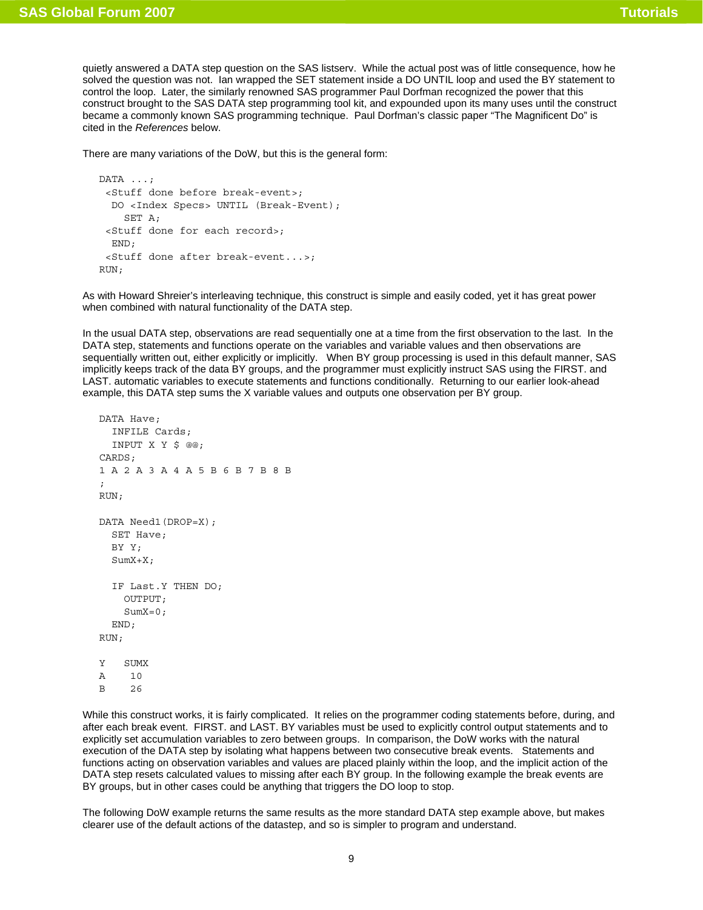quietly answered a DATA step question on the SAS listserv. While the actual post was of little consequence, how he solved the question was not. Ian wrapped the SET statement inside a DO UNTIL loop and used the BY statement to control the loop. Later, the similarly renowned SAS programmer Paul Dorfman recognized the power that this construct brought to the SAS DATA step programming tool kit, and expounded upon its many uses until the construct became a commonly known SAS programming technique. Paul Dorfman's classic paper "The Magnificent Do" is cited in the *References* below.

There are many variations of the DoW, but this is the general form:

```
DATA ...; 
  <Stuff done before break-event>; 
   DO <Index Specs> UNTIL (Break-Event); 
     SET A; 
  <Stuff done for each record>; 
   END; 
  <Stuff done after break-event...>; 
RIM.
```
As with Howard Shreier's interleaving technique, this construct is simple and easily coded, yet it has great power when combined with natural functionality of the DATA step.

In the usual DATA step, observations are read sequentially one at a time from the first observation to the last. In the DATA step, statements and functions operate on the variables and variable values and then observations are sequentially written out, either explicitly or implicitly. When BY group processing is used in this default manner, SAS implicitly keeps track of the data BY groups, and the programmer must explicitly instruct SAS using the FIRST. and LAST. automatic variables to execute statements and functions conditionally. Returning to our earlier look-ahead example, this DATA step sums the X variable values and outputs one observation per BY group.

```
DATA Have; 
   INFILE Cards; 
   INPUT X Y $ @@; 
CARDS; 
1 A 2 A 3 A 4 A 5 B 6 B 7 B 8 B 
; 
RUN; 
DATA Need1(DROP=X); 
   SET Have; 
   BY Y; 
   SumX+X; 
   IF Last.Y THEN DO; 
     OUTPUT; 
     SumX=0; 
   END; 
RUN; 
Y SUMX 
A 10 
B 26
```
While this construct works, it is fairly complicated. It relies on the programmer coding statements before, during, and after each break event. FIRST. and LAST. BY variables must be used to explicitly control output statements and to explicitly set accumulation variables to zero between groups. In comparison, the DoW works with the natural execution of the DATA step by isolating what happens between two consecutive break events. Statements and functions acting on observation variables and values are placed plainly within the loop, and the implicit action of the DATA step resets calculated values to missing after each BY group. In the following example the break events are BY groups, but in other cases could be anything that triggers the DO loop to stop.

The following DoW example returns the same results as the more standard DATA step example above, but makes clearer use of the default actions of the datastep, and so is simpler to program and understand.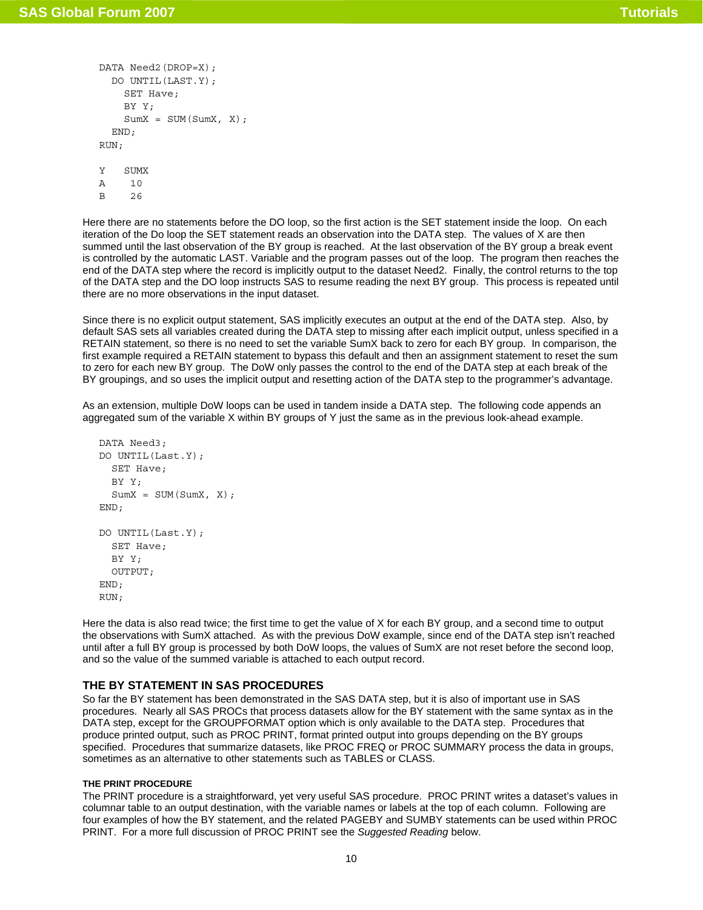```
DATA Need2(DROP=X); 
   DO UNTIL(LAST.Y); 
     SET Have; 
     BY Y; 
    SumX = SUM(SumX, X); END; 
RUN; 
Y SUMX
```
A 10 B 26

Here there are no statements before the DO loop, so the first action is the SET statement inside the loop. On each iteration of the Do loop the SET statement reads an observation into the DATA step. The values of X are then summed until the last observation of the BY group is reached. At the last observation of the BY group a break event is controlled by the automatic LAST. Variable and the program passes out of the loop. The program then reaches the end of the DATA step where the record is implicitly output to the dataset Need2. Finally, the control returns to the top of the DATA step and the DO loop instructs SAS to resume reading the next BY group. This process is repeated until there are no more observations in the input dataset.

Since there is no explicit output statement, SAS implicitly executes an output at the end of the DATA step. Also, by default SAS sets all variables created during the DATA step to missing after each implicit output, unless specified in a RETAIN statement, so there is no need to set the variable SumX back to zero for each BY group. In comparison, the first example required a RETAIN statement to bypass this default and then an assignment statement to reset the sum to zero for each new BY group. The DoW only passes the control to the end of the DATA step at each break of the BY groupings, and so uses the implicit output and resetting action of the DATA step to the programmer's advantage.

As an extension, multiple DoW loops can be used in tandem inside a DATA step. The following code appends an aggregated sum of the variable X within BY groups of Y just the same as in the previous look-ahead example.

```
DATA Need3; 
DO UNTIL(Last.Y); 
   SET Have; 
   BY Y; 
  SumX = SUM(SumX, X);END; 
DO UNTIL(Last.Y); 
   SET Have; 
   BY Y; 
   OUTPUT; 
END; 
RUN;
```
Here the data is also read twice; the first time to get the value of X for each BY group, and a second time to output the observations with SumX attached. As with the previous DoW example, since end of the DATA step isn't reached until after a full BY group is processed by both DoW loops, the values of SumX are not reset before the second loop, and so the value of the summed variable is attached to each output record.

# **THE BY STATEMENT IN SAS PROCEDURES**

So far the BY statement has been demonstrated in the SAS DATA step, but it is also of important use in SAS procedures. Nearly all SAS PROCs that process datasets allow for the BY statement with the same syntax as in the DATA step, except for the GROUPFORMAT option which is only available to the DATA step. Procedures that produce printed output, such as PROC PRINT, format printed output into groups depending on the BY groups specified. Procedures that summarize datasets, like PROC FREQ or PROC SUMMARY process the data in groups, sometimes as an alternative to other statements such as TABLES or CLASS.

### **THE PRINT PROCEDURE**

The PRINT procedure is a straightforward, yet very useful SAS procedure. PROC PRINT writes a dataset's values in columnar table to an output destination, with the variable names or labels at the top of each column. Following are four examples of how the BY statement, and the related PAGEBY and SUMBY statements can be used within PROC PRINT. For a more full discussion of PROC PRINT see the *Suggested Reading* below.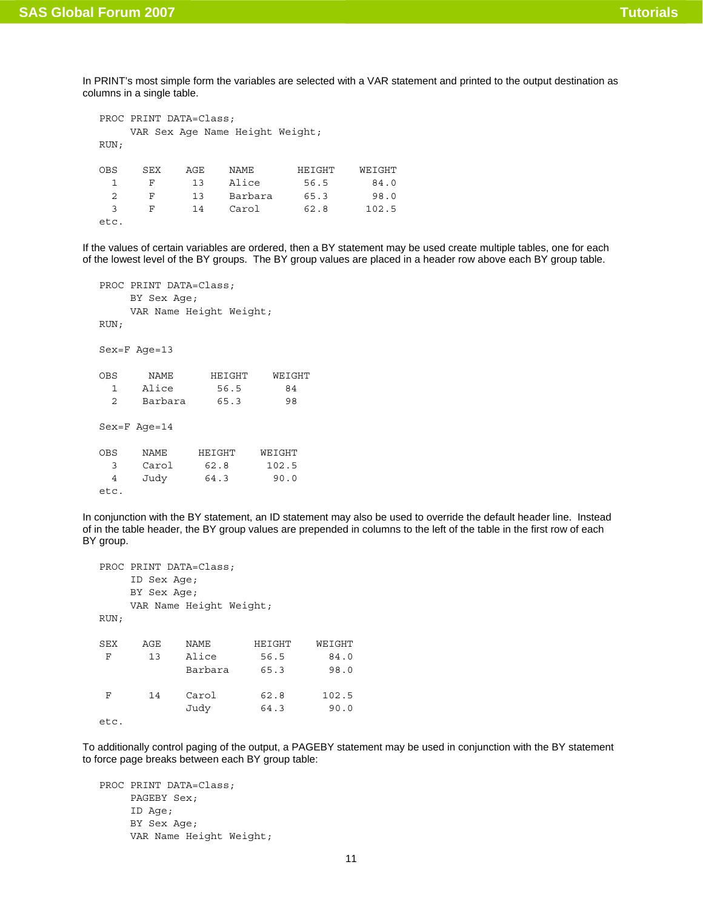In PRINT's most simple form the variables are selected with a VAR statement and printed to the output destination as columns in a single table.

```
PROC PRINT DATA=Class; 
    VAR Sex Age Name Height Weight; 
RUN; 
OBS SEX AGE NAME HEIGHT WEIGHT 
  1 F 13 Alice 56.5 84.0 
  2 F 13 Barbara 65.3 98.0 
  3 F 14 Carol 62.8 102.5 
etc.
```
If the values of certain variables are ordered, then a BY statement may be used create multiple tables, one for each of the lowest level of the BY groups. The BY group values are placed in a header row above each BY group table.

```
PROC PRINT DATA=Class; 
     BY Sex Age; 
     VAR Name Height Weight; 
RUN; 
Sex=F Age=13 
OBS NAME HEIGHT WEIGHT 
  1 Alice 56.5 84 
  2 Barbara 65.3 98 
Sex=F Age=14 
OBS NAME HEIGHT WEIGHT 
  3 Carol 62.8 102.5 
  4 Judy 64.3 90.0 
etc.
```
In conjunction with the BY statement, an ID statement may also be used to override the default header line. Instead of in the table header, the BY group values are prepended in columns to the left of the table in the first row of each BY group.

```
PROC PRINT DATA=Class; 
    ID Sex Age; 
    BY Sex Age; 
    VAR Name Height Weight; 
RUN; 
SEX AGE NAME HEIGHT WEIGHT 
 F 13 Alice 56.5 84.0 
            Barbara 65.3 98.0 
 F 14 Carol 62.8 102.5 
            Judy 64.3 90.0 
etc.
```
To additionally control paging of the output, a PAGEBY statement may be used in conjunction with the BY statement to force page breaks between each BY group table:

```
PROC PRINT DATA=Class; 
      PAGEBY Sex; 
      ID Age; 
      BY Sex Age; 
      VAR Name Height Weight;
```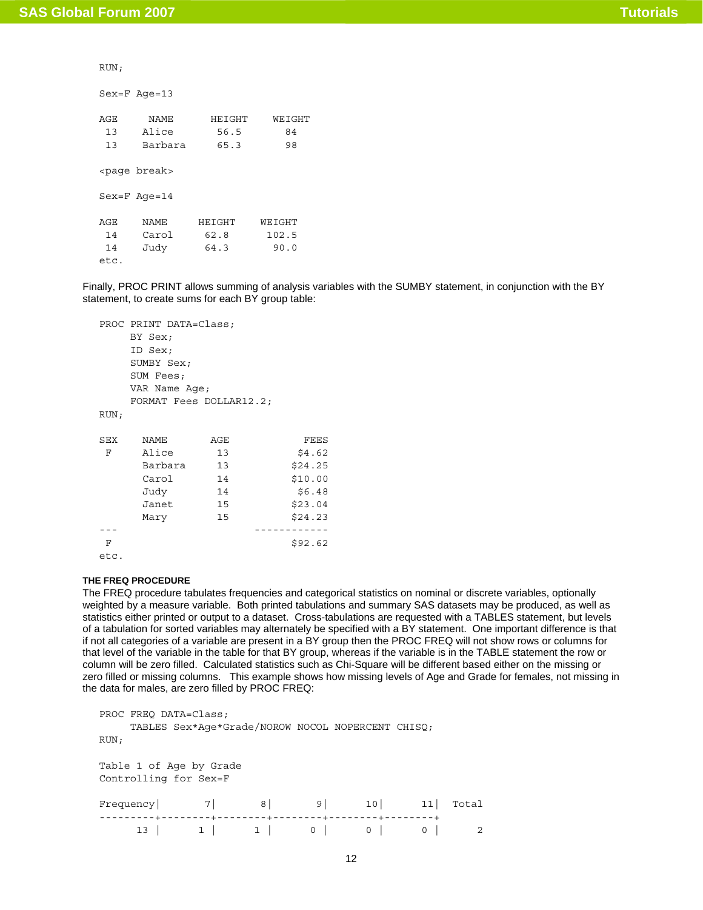RUN;

Sex=F Age=13

| AGE  | <b>NAME</b>            | HEIGHT | WEIGHT |
|------|------------------------|--------|--------|
| 13   | Alice                  | 56.5   | 84     |
| 13   | Barbara                | 65.3   | 98     |
|      | <page break=""></page> |        |        |
|      | $Sex=F$ Age=14         |        |        |
|      |                        |        |        |
| AGE. | NAME.                  | HEIGHT | WEIGHT |
| 14   | Carol                  | 62.8   | 102.5  |
| 14   | Judy                   | 64.3   | 90.0   |
| etc. |                        |        |        |

Finally, PROC PRINT allows summing of analysis variables with the SUMBY statement, in conjunction with the BY statement, to create sums for each BY group table:

|      | PROC PRINT DATA=Class;  |     |         |  |  |  |  |  |
|------|-------------------------|-----|---------|--|--|--|--|--|
|      | BY Sex;                 |     |         |  |  |  |  |  |
|      | ID Sex;                 |     |         |  |  |  |  |  |
|      | SUMBY Sex;              |     |         |  |  |  |  |  |
|      | SUM Fees;               |     |         |  |  |  |  |  |
|      | VAR Name Age;           |     |         |  |  |  |  |  |
|      | FORMAT Fees DOLLAR12.2; |     |         |  |  |  |  |  |
| RUN; |                         |     |         |  |  |  |  |  |
|      |                         |     |         |  |  |  |  |  |
| SEX  | NAME                    | AGE | FEES    |  |  |  |  |  |
| F    | Alice                   | 13  | \$4.62  |  |  |  |  |  |
|      | Barbara                 | 13  | \$24.25 |  |  |  |  |  |
|      | Carol                   | 14  | \$10.00 |  |  |  |  |  |
|      | Judy                    | 14  | \$6.48  |  |  |  |  |  |
|      | Janet                   | 15  | \$23.04 |  |  |  |  |  |
|      | Mary                    | 15  | \$24.23 |  |  |  |  |  |
|      |                         |     |         |  |  |  |  |  |
| F    |                         |     | \$92.62 |  |  |  |  |  |
| etc. |                         |     |         |  |  |  |  |  |

## **THE FREQ PROCEDURE**

The FREQ procedure tabulates frequencies and categorical statistics on nominal or discrete variables, optionally weighted by a measure variable. Both printed tabulations and summary SAS datasets may be produced, as well as statistics either printed or output to a dataset. Cross-tabulations are requested with a TABLES statement, but levels of a tabulation for sorted variables may alternately be specified with a BY statement. One important difference is that if not all categories of a variable are present in a BY group then the PROC FREQ will not show rows or columns for that level of the variable in the table for that BY group, whereas if the variable is in the TABLE statement the row or column will be zero filled. Calculated statistics such as Chi-Square will be different based either on the missing or zero filled or missing columns. This example shows how missing levels of Age and Grade for females, not missing in the data for males, are zero filled by PROC FREQ:

```
PROC FREQ DATA=Class; 
     TABLES Sex*Age*Grade/NOROW NOCOL NOPERCENT CHISQ; 
RUN; 
Table 1 of Age by Grade 
Controlling for Sex=F 
Frequency| 7| 8| 9| 10| 11| Total 
---------+--------+--------+--------+--------+--------+ 
    13 | 1 | 1 | 0 | 0 | 0 | 2
```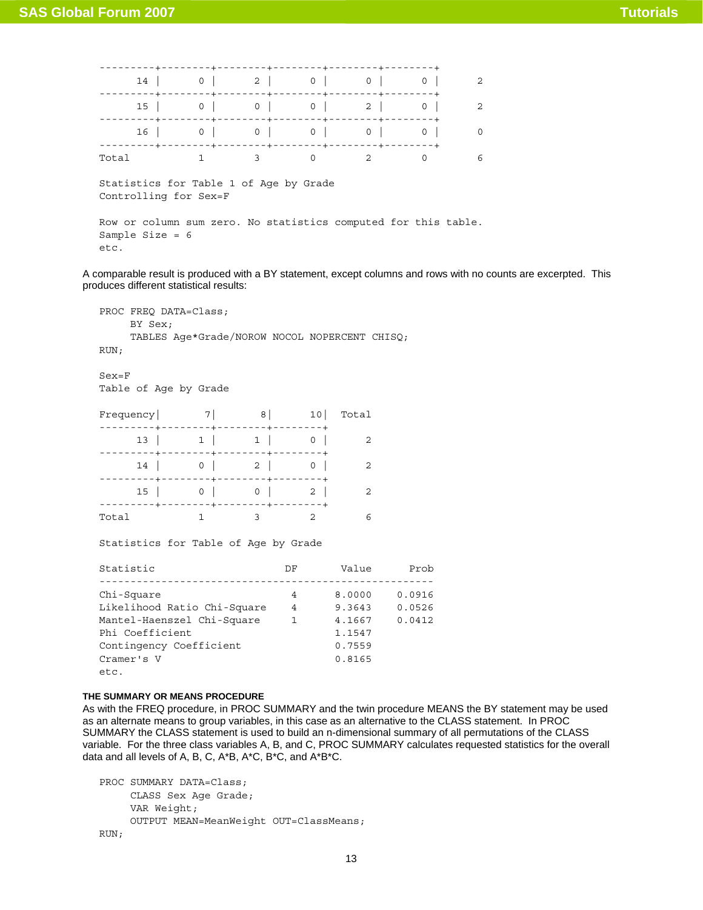|                                                                                             |           |   |          |            | $14$ 0 2 0 0 0 0 |                |
|---------------------------------------------------------------------------------------------|-----------|---|----------|------------|------------------|----------------|
| 15 <sub>1</sub>                                                                             |           |   |          |            | 0                | $\mathfrak{D}$ |
|                                                                                             |           |   |          | 16 0 0 0 0 | 0                | $\Omega$       |
| Total                                                                                       | $1 \quad$ | 3 | $\Omega$ |            | $\Omega$         | 6              |
| Statistics for Table 1 of Age by Grade<br>Controlling for Sex=F                             |           |   |          |            |                  |                |
| Row or column sum zero. No statistics computed for this table.<br>Sample Size = $6$<br>etc. |           |   |          |            |                  |                |

A comparable result is produced with a BY statement, except columns and rows with no counts are excerpted. This produces different statistical results:

```
PROC FREQ DATA=Class; 
      BY Sex; 
      TABLES Age*Grade/NOROW NOCOL NOPERCENT CHISQ; 
RUN;
```
Sex=F Table of Age by Grade

| Frequency  7  8  10  Total                   |                                                                                  |                         |  |
|----------------------------------------------|----------------------------------------------------------------------------------|-------------------------|--|
|                                              | 13   1   1   0                                                                   | -------+-------+        |  |
|                                              | -----+--------+--------+-------+<br>$14$ 0 2 0<br>---+--------+--------+-------- |                         |  |
|                                              | $15$ 0 0 0 2                                                                     |                         |  |
| --------+--------+--------+--------<br>Total |                                                                                  | $\overline{\mathbf{3}}$ |  |

Statistics for Table of Age by Grade

| Statistic                   | DF | Value  | Prob   |
|-----------------------------|----|--------|--------|
|                             |    |        |        |
| Chi-Square                  | 4  | 8,0000 | 0.0916 |
| Likelihood Ratio Chi-Square | 4  | 9.3643 | 0.0526 |
| Mantel-Haenszel Chi-Square  | 1  | 4.1667 | 0.0412 |
| Phi Coefficient             |    | 1.1547 |        |
| Contingency Coefficient     |    | 0.7559 |        |
| Cramer's V                  |    | 0.8165 |        |
| etc.                        |    |        |        |

## **THE SUMMARY OR MEANS PROCEDURE**

As with the FREQ procedure, in PROC SUMMARY and the twin procedure MEANS the BY statement may be used as an alternate means to group variables, in this case as an alternative to the CLASS statement. In PROC SUMMARY the CLASS statement is used to build an n-dimensional summary of all permutations of the CLASS variable. For the three class variables A, B, and C, PROC SUMMARY calculates requested statistics for the overall data and all levels of A, B, C, A\*B, A\*C, B\*C, and A\*B\*C.

```
PROC SUMMARY DATA=Class; 
      CLASS Sex Age Grade; 
      VAR Weight; 
      OUTPUT MEAN=MeanWeight OUT=ClassMeans;
```
RUN;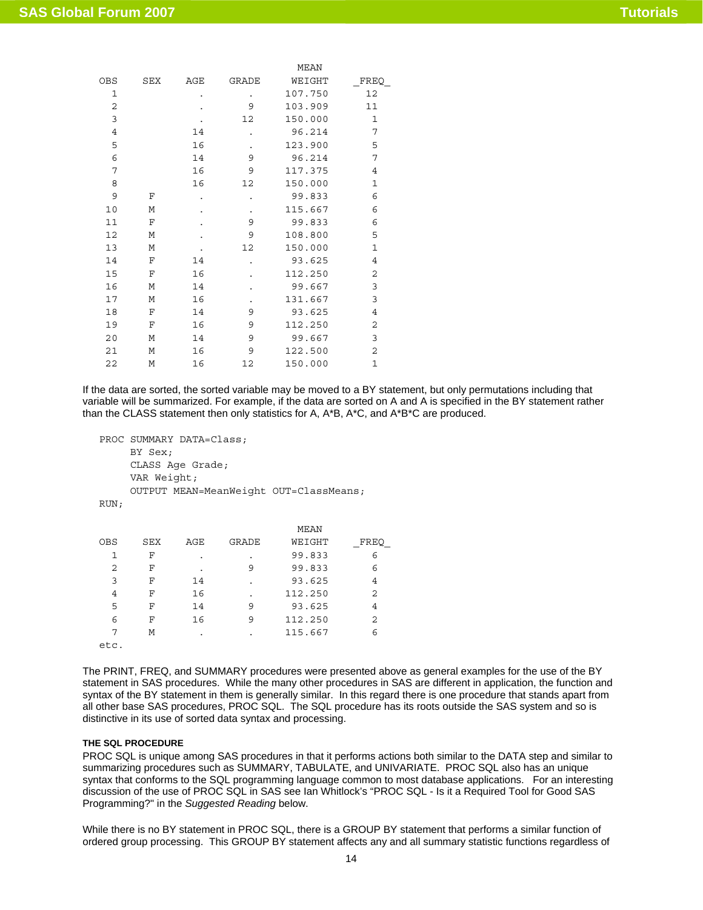|                |     |     |              | <b>MEAN</b> |              |
|----------------|-----|-----|--------------|-------------|--------------|
| OBS            | SEX | AGE | <b>GRADE</b> | WEIGHT      | FREQ         |
| 1              |     |     | $\bullet$    | 107.750     | 12           |
| 2              |     |     | 9            | 103.909     | 11           |
| 3              |     |     | 12           | 150.000     | 1            |
| $\overline{4}$ |     | 14  |              | 96.214      | 7            |
| 5              |     | 16  | ٠            | 123.900     | 5            |
| 6              |     | 14  | 9            | 96.214      | 7            |
| 7              |     | 16  | 9            | 117.375     | 4            |
| 8              |     | 16  | 12           | 150.000     | $\mathbf 1$  |
| 9              | F   |     | ۰            | 99.833      | 6            |
| 10             | М   |     | ٠            | 115.667     | 6            |
| 11             | F   |     | 9            | 99.833      | 6            |
| 12             | М   |     | 9            | 108.800     | 5            |
| 13             | M   |     | 12           | 150.000     | $\mathbf{1}$ |
| 14             | F   | 14  | ۰            | 93.625      | 4            |
| 15             | F   | 16  |              | 112.250     | 2            |
| 16             | М   | 14  |              | 99.667      | 3            |
| 17             | М   | 16  |              | 131.667     | 3            |
| 18             | F   | 14  | 9            | 93.625      | 4            |
| 19             | F   | 16  | 9            | 112.250     | 2            |
| 20             | М   | 14  | 9            | 99.667      | 3            |
| 21             | M   | 16  | 9            | 122.500     | 2            |
| 22             | М   | 16  | 12           | 150.000     | $\mathbf 1$  |
|                |     |     |              |             |              |

If the data are sorted, the sorted variable may be moved to a BY statement, but only permutations including that variable will be summarized. For example, if the data are sorted on A and A is specified in the BY statement rather than the CLASS statement then only statistics for A, A\*B, A\*C, and A\*B\*C are produced.

```
PROC SUMMARY DATA=Class; 
      BY Sex; 
      CLASS Age Grade; 
      VAR Weight; 
      OUTPUT MEAN=MeanWeight OUT=ClassMeans; 
RUN;
```

|            |     |     |       | MEAN    |      |
|------------|-----|-----|-------|---------|------|
| <b>OBS</b> | SEX | AGE | GRADE | WEIGHT  | FREQ |
| 1          | F   |     |       | 99.833  | 6    |
| 2          | F   |     | 9     | 99.833  | 6    |
| 3          | F   | 14  | ٠     | 93.625  | 4    |
| 4          | F   | 16  | ٠     | 112.250 | 2    |
| 5          | F   | 14  | 9     | 93.625  | 4    |
| 6          | F   | 16  | 9     | 112.250 | 2    |
| 7          | М   |     | ٠     | 115.667 | 6    |
| etc.       |     |     |       |         |      |

The PRINT, FREQ, and SUMMARY procedures were presented above as general examples for the use of the BY statement in SAS procedures. While the many other procedures in SAS are different in application, the function and syntax of the BY statement in them is generally similar. In this regard there is one procedure that stands apart from all other base SAS procedures, PROC SQL. The SQL procedure has its roots outside the SAS system and so is distinctive in its use of sorted data syntax and processing.

#### **THE SQL PROCEDURE**

PROC SQL is unique among SAS procedures in that it performs actions both similar to the DATA step and similar to summarizing procedures such as SUMMARY, TABULATE, and UNIVARIATE. PROC SQL also has an unique syntax that conforms to the SQL programming language common to most database applications. For an interesting discussion of the use of PROC SQL in SAS see Ian Whitlock's "PROC SQL - Is it a Required Tool for Good SAS Programming?" in the *Suggested Reading* below.

While there is no BY statement in PROC SQL, there is a GROUP BY statement that performs a similar function of ordered group processing. This GROUP BY statement affects any and all summary statistic functions regardless of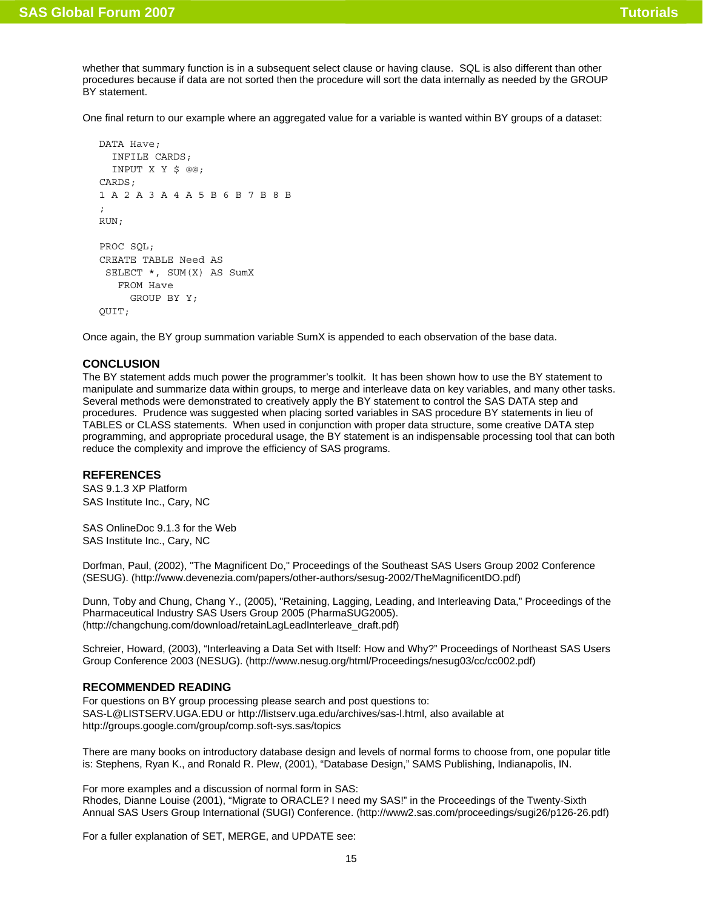whether that summary function is in a subsequent select clause or having clause. SQL is also different than other procedures because if data are not sorted then the procedure will sort the data internally as needed by the GROUP BY statement.

One final return to our example where an aggregated value for a variable is wanted within BY groups of a dataset:

```
DATA Have .
   INFILE CARDS; 
   INPUT X Y $ @@; 
CARDS; 
1 A 2 A 3 A 4 A 5 B 6 B 7 B 8 B 
; 
RUN; 
PROC SOL:
CREATE TABLE Need AS 
  SELECT *, SUM(X) AS SumX 
    FROM Have 
      GROUP BY Y; 
QUIT;
```
Once again, the BY group summation variable SumX is appended to each observation of the base data.

### **CONCLUSION**

The BY statement adds much power the programmer's toolkit. It has been shown how to use the BY statement to manipulate and summarize data within groups, to merge and interleave data on key variables, and many other tasks. Several methods were demonstrated to creatively apply the BY statement to control the SAS DATA step and procedures. Prudence was suggested when placing sorted variables in SAS procedure BY statements in lieu of TABLES or CLASS statements. When used in conjunction with proper data structure, some creative DATA step programming, and appropriate procedural usage, the BY statement is an indispensable processing tool that can both reduce the complexity and improve the efficiency of SAS programs.

### **REFERENCES**

SAS 9.1.3 XP Platform SAS Institute Inc., Cary, NC

SAS OnlineDoc 9.1.3 for the Web SAS Institute Inc., Cary, NC

Dorfman, Paul, (2002), "The Magnificent Do," Proceedings of the Southeast SAS Users Group 2002 Conference (SESUG). (http://www.devenezia.com/papers/other-authors/sesug-2002/TheMagnificentDO.pdf)

Dunn, Toby and Chung, Chang Y., (2005), "Retaining, Lagging, Leading, and Interleaving Data," Proceedings of the Pharmaceutical Industry SAS Users Group 2005 (PharmaSUG2005). (http://changchung.com/download/retainLagLeadInterleave\_draft.pdf)

Schreier, Howard, (2003), "Interleaving a Data Set with Itself: How and Why?" Proceedings of Northeast SAS Users Group Conference 2003 (NESUG). (http://www.nesug.org/html/Proceedings/nesug03/cc/cc002.pdf)

## **RECOMMENDED READING**

For questions on BY group processing please search and post questions to: SAS-L@LISTSERV.UGA.EDU or http://listserv.uga.edu/archives/sas-l.html, also available at http://groups.google.com/group/comp.soft-sys.sas/topics

There are many books on introductory database design and levels of normal forms to choose from, one popular title is: Stephens, Ryan K., and Ronald R. Plew, (2001), "Database Design," SAMS Publishing, Indianapolis, IN.

For more examples and a discussion of normal form in SAS: Rhodes, Dianne Louise (2001), "Migrate to ORACLE? I need my SAS!" in the Proceedings of the Twenty-Sixth Annual SAS Users Group International (SUGI) Conference. (http://www2.sas.com/proceedings/sugi26/p126-26.pdf)

For a fuller explanation of SET, MERGE, and UPDATE see: